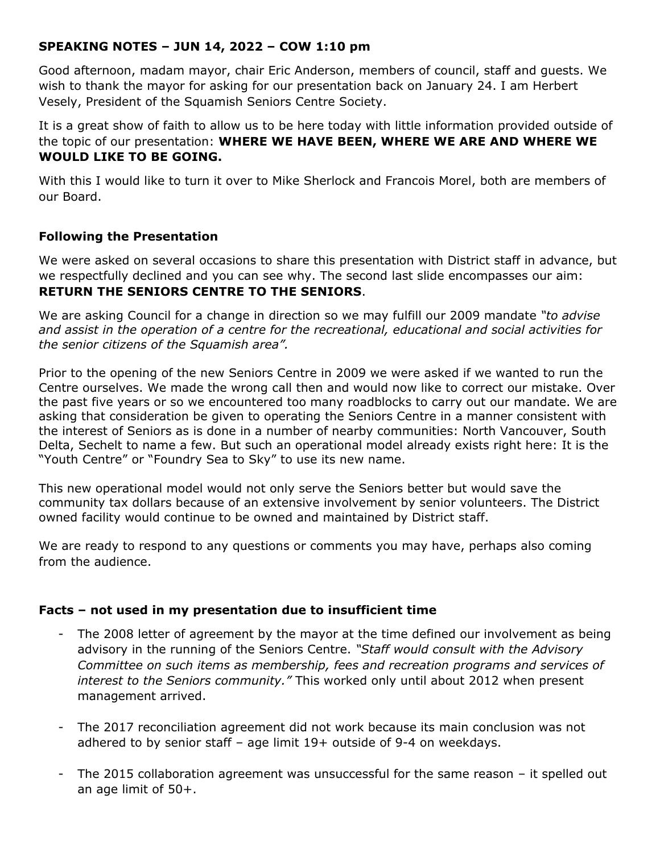## **SPEAKING NOTES – JUN 14, 2022 – COW 1:10 pm**

Good afternoon, madam mayor, chair Eric Anderson, members of council, staff and guests. We wish to thank the mayor for asking for our presentation back on January 24. I am Herbert Vesely, President of the Squamish Seniors Centre Society.

It is a great show of faith to allow us to be here today with little information provided outside of the topic of our presentation: **WHERE WE HAVE BEEN, WHERE WE ARE AND WHERE WE WOULD LIKE TO BE GOING.**

With this I would like to turn it over to Mike Sherlock and Francois Morel, both are members of our Board.

## **Following the Presentation**

We were asked on several occasions to share this presentation with District staff in advance, but we respectfully declined and you can see why. The second last slide encompasses our aim: **RETURN THE SENIORS CENTRE TO THE SENIORS**.

We are asking Council for a change in direction so we may fulfill our 2009 mandate *"to advise and assist in the operation of a centre for the recreational, educational and social activities for the senior citizens of the Squamish area".* 

Prior to the opening of the new Seniors Centre in 2009 we were asked if we wanted to run the Centre ourselves. We made the wrong call then and would now like to correct our mistake. Over the past five years or so we encountered too many roadblocks to carry out our mandate. We are asking that consideration be given to operating the Seniors Centre in a manner consistent with the interest of Seniors as is done in a number of nearby communities: North Vancouver, South Delta, Sechelt to name a few. But such an operational model already exists right here: It is the "Youth Centre" or "Foundry Sea to Sky" to use its new name.

This new operational model would not only serve the Seniors better but would save the community tax dollars because of an extensive involvement by senior volunteers. The District owned facility would continue to be owned and maintained by District staff.

We are ready to respond to any questions or comments you may have, perhaps also coming from the audience.

## **Facts – not used in my presentation due to insufficient time**

- The 2008 letter of agreement by the mayor at the time defined our involvement as being advisory in the running of the Seniors Centre. *"Staff would consult with the Advisory Committee on such items as membership, fees and recreation programs and services of interest to the Seniors community."* This worked only until about 2012 when present management arrived.
- The 2017 reconciliation agreement did not work because its main conclusion was not adhered to by senior staff – age limit 19+ outside of 9-4 on weekdays.
- The 2015 collaboration agreement was unsuccessful for the same reason it spelled out an age limit of 50+.